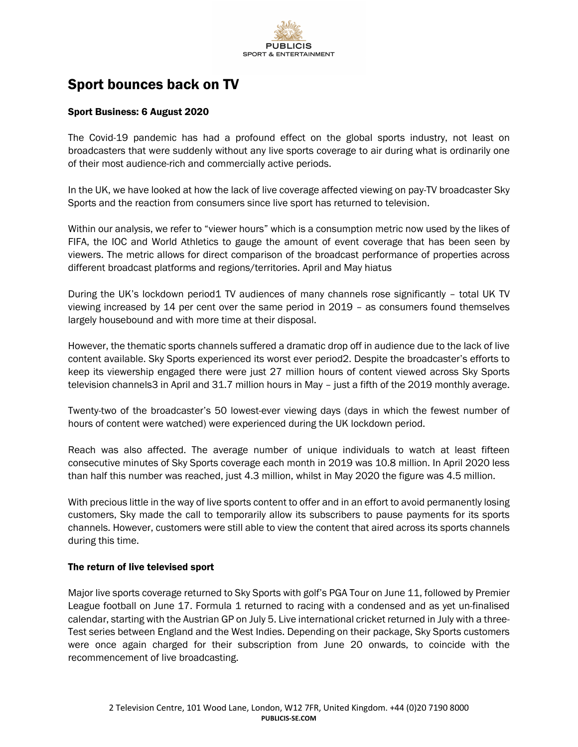

# Sport bounces back on TV

## Sport Business: 6 August 2020

The Covid-19 pandemic has had a profound effect on the global sports industry, not least on broadcasters that were suddenly without any live sports coverage to air during what is ordinarily one of their most audience-rich and commercially active periods.

In the UK, we have looked at how the lack of live coverage affected viewing on pay-TV broadcaster Sky Sports and the reaction from consumers since live sport has returned to television.

Within our analysis, we refer to "viewer hours" which is a consumption metric now used by the likes of FIFA, the IOC and World Athletics to gauge the amount of event coverage that has been seen by viewers. The metric allows for direct comparison of the broadcast performance of properties across different broadcast platforms and regions/territories. April and May hiatus

During the UK's lockdown period1 TV audiences of many channels rose significantly – total UK TV viewing increased by 14 per cent over the same period in 2019 – as consumers found themselves largely housebound and with more time at their disposal.

However, the thematic sports channels suffered a dramatic drop off in audience due to the lack of live content available. Sky Sports experienced its worst ever period2. Despite the broadcaster's efforts to keep its viewership engaged there were just 27 million hours of content viewed across Sky Sports television channels3 in April and 31.7 million hours in May – just a fifth of the 2019 monthly average.

Twenty-two of the broadcaster's 50 lowest-ever viewing days (days in which the fewest number of hours of content were watched) were experienced during the UK lockdown period.

Reach was also affected. The average number of unique individuals to watch at least fifteen consecutive minutes of Sky Sports coverage each month in 2019 was 10.8 million. In April 2020 less than half this number was reached, just 4.3 million, whilst in May 2020 the figure was 4.5 million.

With precious little in the way of live sports content to offer and in an effort to avoid permanently losing customers, Sky made the call to temporarily allow its subscribers to pause payments for its sports channels. However, customers were still able to view the content that aired across its sports channels during this time.

### The return of live televised sport

Major live sports coverage returned to Sky Sports with golf's PGA Tour on June 11, followed by Premier League football on June 17. Formula 1 returned to racing with a condensed and as yet un-finalised calendar, starting with the Austrian GP on July 5. Live international cricket returned in July with a three-Test series between England and the West Indies. Depending on their package, Sky Sports customers were once again charged for their subscription from June 20 onwards, to coincide with the recommencement of live broadcasting.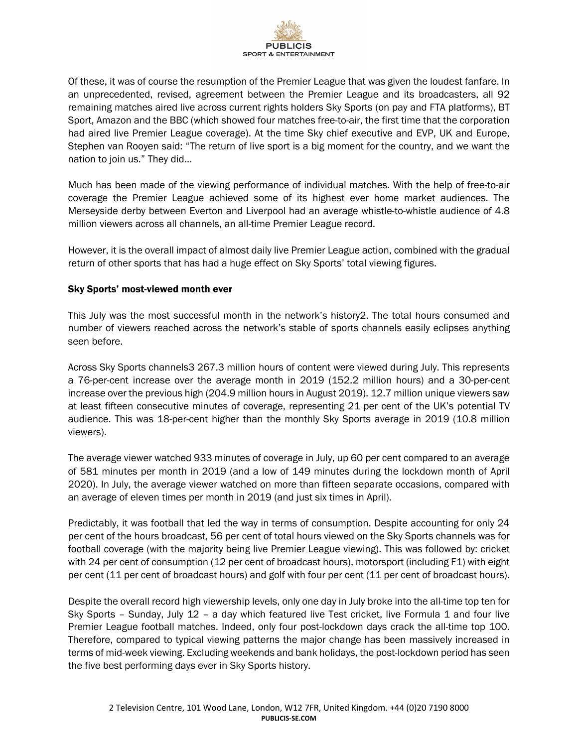

Of these, it was of course the resumption of the Premier League that was given the loudest fanfare. In an unprecedented, revised, agreement between the Premier League and its broadcasters, all 92 remaining matches aired live across current rights holders Sky Sports (on pay and FTA platforms), BT Sport, Amazon and the BBC (which showed four matches free-to-air, the first time that the corporation had aired live Premier League coverage). At the time Sky chief executive and EVP, UK and Europe, Stephen van Rooyen said: "The return of live sport is a big moment for the country, and we want the nation to join us." They did…

Much has been made of the viewing performance of individual matches. With the help of free-to-air coverage the Premier League achieved some of its highest ever home market audiences. The Merseyside derby between Everton and Liverpool had an average whistle-to-whistle audience of 4.8 million viewers across all channels, an all-time Premier League record.

However, it is the overall impact of almost daily live Premier League action, combined with the gradual return of other sports that has had a huge effect on Sky Sports' total viewing figures.

### Sky Sports' most-viewed month ever

This July was the most successful month in the network's history2. The total hours consumed and number of viewers reached across the network's stable of sports channels easily eclipses anything seen before.

Across Sky Sports channels3 267.3 million hours of content were viewed during July. This represents a 76-per-cent increase over the average month in 2019 (152.2 million hours) and a 30-per-cent increase over the previous high (204.9 million hours in August 2019). 12.7 million unique viewers saw at least fifteen consecutive minutes of coverage, representing 21 per cent of the UK's potential TV audience. This was 18-per-cent higher than the monthly Sky Sports average in 2019 (10.8 million viewers).

The average viewer watched 933 minutes of coverage in July, up 60 per cent compared to an average of 581 minutes per month in 2019 (and a low of 149 minutes during the lockdown month of April 2020). In July, the average viewer watched on more than fifteen separate occasions, compared with an average of eleven times per month in 2019 (and just six times in April).

Predictably, it was football that led the way in terms of consumption. Despite accounting for only 24 per cent of the hours broadcast, 56 per cent of total hours viewed on the Sky Sports channels was for football coverage (with the majority being live Premier League viewing). This was followed by: cricket with 24 per cent of consumption (12 per cent of broadcast hours), motorsport (including F1) with eight per cent (11 per cent of broadcast hours) and golf with four per cent (11 per cent of broadcast hours).

Despite the overall record high viewership levels, only one day in July broke into the all-time top ten for Sky Sports – Sunday, July 12 – a day which featured live Test cricket, live Formula 1 and four live Premier League football matches. Indeed, only four post-lockdown days crack the all-time top 100. Therefore, compared to typical viewing patterns the major change has been massively increased in terms of mid-week viewing. Excluding weekends and bank holidays, the post-lockdown period has seen the five best performing days ever in Sky Sports history.